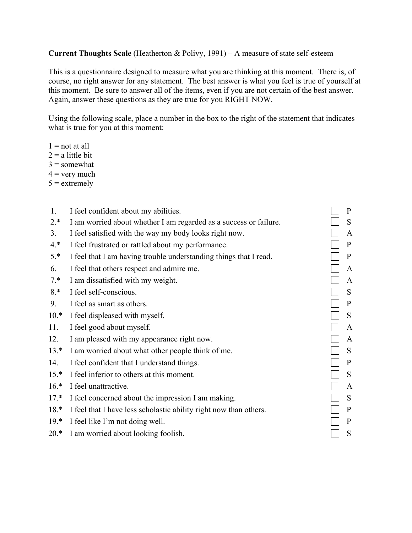## **Current Thoughts Scale** (Heatherton & Polivy, 1991) – A measure of state self-esteem

This is a questionnaire designed to measure what you are thinking at this moment. There is, of course, no right answer for any statement. The best answer is what you feel is true of yourself at this moment. Be sure to answer all of the items, even if you are not certain of the best answer. Again, answer these questions as they are true for you RIGHT NOW.

Using the following scale, place a number in the box to the right of the statement that indicates what is true for you at this moment:

- $1 = not at all$
- $2 = a$  little bit
- $3 =$ somewhat
- $4 =$  very much
- $5 =$  extremely

| 1.     | I feel confident about my abilities.                              | $\mathbf{P}$ |
|--------|-------------------------------------------------------------------|--------------|
| $2.*$  | I am worried about whether I am regarded as a success or failure. | S            |
| 3.     | I feel satisfied with the way my body looks right now.            | A            |
| $4.*$  | I feel frustrated or rattled about my performance.                | P            |
| $5.*$  | I feel that I am having trouble understanding things that I read. | P            |
| 6.     | I feel that others respect and admire me.                         | A            |
| $7.*$  | I am dissatisfied with my weight.                                 | A            |
| $8.*$  | I feel self-conscious.                                            | S            |
| 9.     | I feel as smart as others.                                        | P            |
| $10.*$ | I feel displeased with myself.                                    | S            |
| 11.    | I feel good about myself.                                         | A            |
| 12.    | I am pleased with my appearance right now.                        | A            |
| $13.*$ | I am worried about what other people think of me.                 | S            |
| 14.    | I feel confident that I understand things.                        | P            |
| $15.*$ | I feel inferior to others at this moment.                         | S            |
| $16.*$ | I feel unattractive.                                              | A            |
| $17.*$ | I feel concerned about the impression I am making.                | S            |
| $18.*$ | I feel that I have less scholastic ability right now than others. | P            |
| $19.*$ | I feel like I'm not doing well.                                   | P            |
| $20.*$ | I am worried about looking foolish.                               | S            |